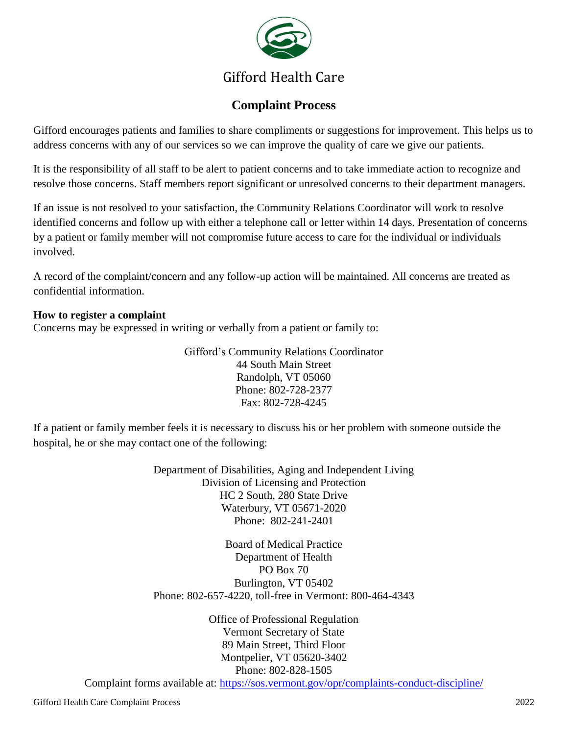

# Gifford Health Care

## **Complaint Process**

Gifford encourages patients and families to share compliments or suggestions for improvement. This helps us to address concerns with any of our services so we can improve the quality of care we give our patients.

It is the responsibility of all staff to be alert to patient concerns and to take immediate action to recognize and resolve those concerns. Staff members report significant or unresolved concerns to their department managers.

If an issue is not resolved to your satisfaction, the Community Relations Coordinator will work to resolve identified concerns and follow up with either a telephone call or letter within 14 days. Presentation of concerns by a patient or family member will not compromise future access to care for the individual or individuals involved.

A record of the complaint/concern and any follow-up action will be maintained. All concerns are treated as confidential information.

#### **How to register a complaint**

Concerns may be expressed in writing or verbally from a patient or family to:

Gifford's Community Relations Coordinator 44 South Main Street Randolph, VT 05060 Phone: 802-728-2377 Fax: 802-728-4245

If a patient or family member feels it is necessary to discuss his or her problem with someone outside the hospital, he or she may contact one of the following:

> Department of Disabilities, Aging and Independent Living Division of Licensing and Protection HC 2 South, 280 State Drive Waterbury, VT 05671-2020 Phone: 802-241-2401

> Board of Medical Practice Department of Health PO Box 70 Burlington, VT 05402 Phone: 802-657-4220, toll-free in Vermont: 800-464-4343

> > Office of Professional Regulation Vermont Secretary of State 89 Main Street, Third Floor Montpelier, VT 05620-3402 Phone: 802-828-1505

Complaint forms available at:<https://sos.vermont.gov/opr/complaints-conduct-discipline/>